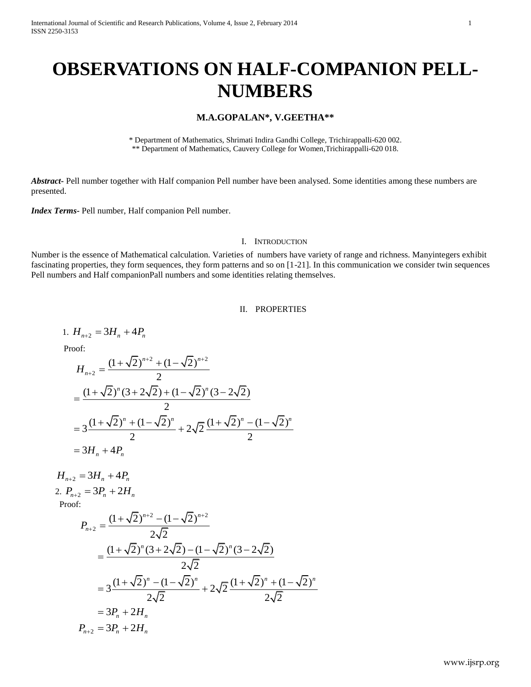# **OBSERVATIONS ON HALF-COMPANION PELL-NUMBERS**

# **M.A.GOPALAN\*, V.GEETHA\*\***

\* Department of Mathematics, Shrimati Indira Gandhi College, Trichirappalli-620 002. \*\* Department of Mathematics, Cauvery College for Women,Trichirappalli-620 018.

*Abstract***-** Pell number together with Half companion Pell number have been analysed. Some identities among these numbers are presented.

*Index Terms-* Pell number, Half companion Pell number.

### I. INTRODUCTION

Number is the essence of Mathematical calculation. Varieties of numbers have variety of range and richness. Manyintegers exhibit fascinating properties, they form sequences, they form patterns and so on [1-21]. In this communication we consider twin sequences Pell numbers and Half companionPall numbers and some identities relating themselves.

# II. PROPERTIES

1.  $H_{n+2} = 3H_n + 4P_n$  Proof:  $2 + (1 - \sqrt{2})^{n+2}$  $2 = \frac{(1+\sqrt{2})^{n+2} + (1-\sqrt{2})}{2}$ 2  $n+2$  +  $(1-\sqrt{2})^n$ *H n*  $x^{+2} + (1-x\sqrt{2})^{n+2}$  $_{+2} = \frac{(1+\sqrt{2})^{n+2}+(1-\sqrt{2})}{2}$  $J_{n+2} = \frac{(1 + \sqrt{2})^n (1 + \sqrt{2})^n}{2}$ <br>(1+ $\sqrt{2}$ )<sup>n</sup> (3+2 $\sqrt{2}$ ) + (1- $\sqrt{2}$ )<sup>n</sup> (3-2 $\sqrt{2}$ ) 2  $\frac{(1+\sqrt{2})^n + (1-\sqrt{2})^n}{2} + 2\sqrt{2} \frac{(1+\sqrt{2})^n - (1-\sqrt{2})^n}{2}$  $\frac{+(1-\sqrt{2})^n}{2} + 2\sqrt{2} \frac{(1+\sqrt{2})^n}{2}$  $3 \frac{(1 + \sqrt{2})}{3H_n + 4}$  $\frac{2}{(3+2\sqrt{2})+(1-\sqrt{2})^n}$  $\frac{2}{(1-\sqrt{2})^n}$   $\qquad - (1+\sqrt{2})^n - (1-\sqrt{2})^n$  $\frac{(1 + \sqrt{2})}{H_n + 4P_n}$  $H_{n+2} = \frac{(1+\sqrt{2})^n (1+\sqrt{2})^n}{2}$ <br>=  $\frac{(1+\sqrt{2})^n (3+2\sqrt{2}) + (1-\sqrt{2})^n (3-2\sqrt{2})}{2}$  $=\frac{(1+\sqrt{2})^n + (1-\sqrt{2})^n + 2\sqrt{2}}{2}$ <br>=  $3\frac{(1+\sqrt{2})^n + (1-\sqrt{2})^n}{2} + 2\sqrt{2}\frac{(1+\sqrt{2})^n - (1-\sqrt{2})^n}{2}$ =  $3\frac{(1+\sqrt{2})+}{2}$ <br>=  $3H_n + 4P_n$ 

 $H_{n+2} = 3H_n + 4P_n$ 2.  $P_{n+2} = 3P_n + 2H_n$ Proof:

$$
P_{n+2} = \frac{(1+\sqrt{2})^{n+2} - (1-\sqrt{2})^{n+2}}{2\sqrt{2}}
$$
  
= 
$$
\frac{(1+\sqrt{2})^n (3+2\sqrt{2}) - (1-\sqrt{2})^n (3-2\sqrt{2})}{2\sqrt{2}}
$$
  
= 
$$
3\frac{(1+\sqrt{2})^n - (1-\sqrt{2})^n}{2\sqrt{2}} + 2\sqrt{2}\frac{(1+\sqrt{2})^n + (1-\sqrt{2})^n}{2\sqrt{2}}
$$
  
= 
$$
3P_n + 2H_n
$$
  

$$
P_{n+2} = 3P_n + 2H_n
$$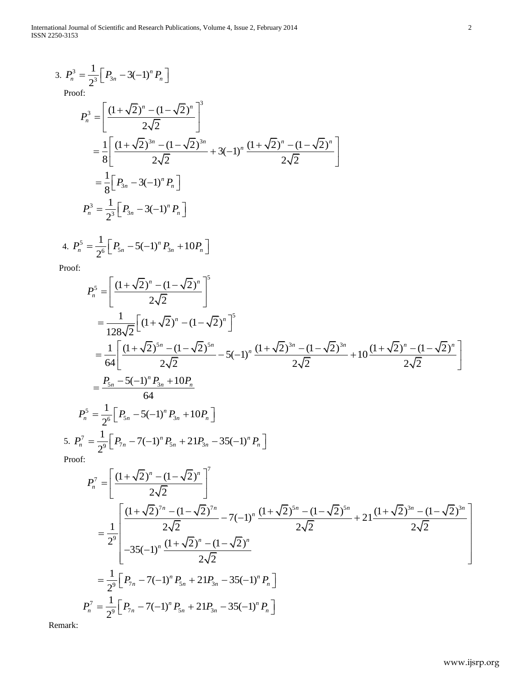$$
3. \ P_n^3 = \frac{1}{2^3} \Big[ P_{3n} - 3(-1)^n P_n \Big]
$$

Proof:

$$
P_n^3 = \left[ \frac{(1+\sqrt{2})^n - (1-\sqrt{2})^n}{2\sqrt{2}} \right]^3
$$
  
=  $\frac{1}{8} \left[ \frac{(1+\sqrt{2})^{3n} - (1-\sqrt{2})^{3n}}{2\sqrt{2}} + 3(-1)^n \frac{(1+\sqrt{2})^n - (1-\sqrt{2})^n}{2\sqrt{2}} \right]$   
=  $\frac{1}{8} \left[ P_{3n} - 3(-1)^n P_n \right]$   

$$
P_n^3 = \frac{1}{2^3} \left[ P_{3n} - 3(-1)^n P_n \right]
$$

4. 
$$
P_n^5 = \frac{1}{2^6} \Big[ P_{5n} - 5(-1)^n P_{3n} + 10P_n \Big]
$$

Proof:

$$
P_n^5 = \left[ \frac{(1+\sqrt{2})^n - (1-\sqrt{2})^n}{2\sqrt{2}} \right]^5
$$
  
\n
$$
= \frac{1}{128\sqrt{2}} \left[ (1+\sqrt{2})^n - (1-\sqrt{2})^n \right]^5
$$
  
\n
$$
= \frac{1}{64} \left[ \frac{(1+\sqrt{2})^{5n} - (1-\sqrt{2})^{5n}}{2\sqrt{2}} - 5(-1)^n \frac{(1+\sqrt{2})^{3n} - (1-\sqrt{2})^{3n}}{2\sqrt{2}} + 10 \frac{(1+\sqrt{2})^n - (1-\sqrt{2})^n}{2\sqrt{2}} \right]
$$
  
\n
$$
= \frac{P_{5n} - 5(-1)^n P_{3n} + 10P_n}{64}
$$
  
\n
$$
P_n^5 = \frac{1}{2^6} \left[ P_{5n} - 5(-1)^n P_{3n} + 10P_n \right]
$$
  
\n5.  $P_n^7 = \frac{1}{2^9} \left[ P_{7n} - 7(-1)^n P_{5n} + 21P_{3n} - 35(-1)^n P_n \right]$   
\nProof:

Proo

$$
P_n^7 = \left[ \frac{(1+\sqrt{2})^n - (1-\sqrt{2})^n}{2\sqrt{2}} \right]^7
$$
  
=  $\frac{1}{2^9} \left[ \frac{(1+\sqrt{2})^{7n} - (1-\sqrt{2})^{7n}}{2\sqrt{2}} - 7(-1)^n \frac{(1+\sqrt{2})^{5n} - (1-\sqrt{2})^{5n}}{2\sqrt{2}} + 21 \frac{(1+\sqrt{2})^{3n} - (1-\sqrt{2})^{3n}}{2\sqrt{2}} \right]$   
=  $\frac{1}{2^9} \left[ P_{7n} - 7(-1)^n P_{5n} + 21P_{3n} - 35(-1)^n P_n \right]$   

$$
P_n^7 = \frac{1}{2^9} \left[ P_{7n} - 7(-1)^n P_{5n} + 21P_{3n} - 35(-1)^n P_n \right]
$$

Remark: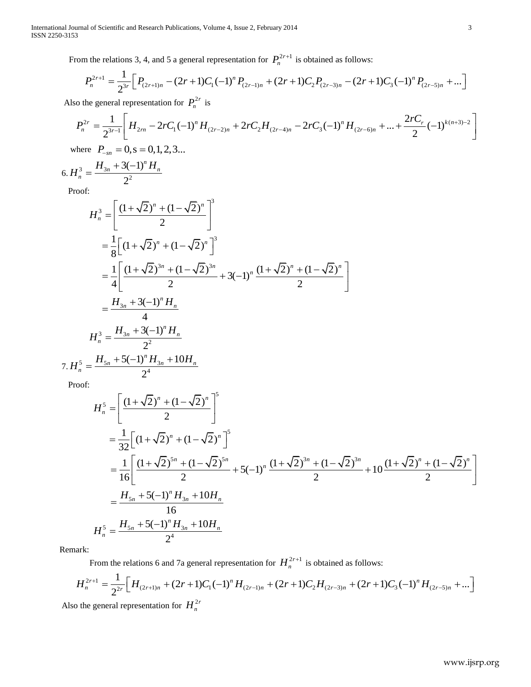From the relations 3, 4, and 5 a general representation for  $P_n^{2r+1}$  $+1$  is obtained as follows:

m the relations 3, 4, and 5 a general representation for 
$$
P_n^{2r+1}
$$
 is obtained as follows:  
\n
$$
P_n^{2r+1} = \frac{1}{2^{3r}} \Big[ P_{(2r+1)n} - (2r+1)C_1(-1)^n P_{(2r-1)n} + (2r+1)C_2 P_{(2r-3)n} - (2r+1)C_3(-1)^n P_{(2r-5)n} + ... \Big]
$$
\nthe general representation for  $P_n^{2r}$  is  
\n
$$
P_n^{2r} = \frac{1}{2^{3r-1}} \Big[ H_{2rn} - 2rC_1(-1)^n H_{(2r-2)n} + 2rC_2 H_{(2r-4)n} - 2rC_3(-1)^n H_{(2r-6)n} + ... + \frac{2rC_r}{2}(-1)^{k(n+3)-2} \Big]
$$

2

2

$$
P_n^{2r+1} = \frac{1}{2^{3r}} \Big[ P_{(2r+1)n} - (2r+1)C_1(-1)^n P_{(2r-1)n} + (2r+1)C_2 P_{(2r-3)n} - (2r+1)C_3(-1)^n P_{(2r-5)n} + \dots \Big]
$$
  
Also the general representation for  $P_n^{2r}$  is  

$$
P_n^{2r} = \frac{1}{2^{3r-1}} \Bigg[ H_{2rn} - 2rC_1(-1)^n H_{(2r-2)n} + 2rC_2 H_{(2r-4)n} - 2rC_3(-1)^n H_{(2r-6)n} + \dots + \frac{2rC_r}{2}(-1)^{k(n+3)-2} \Bigg]
$$
  
where  $P_{-sn} = 0$ ,  $s = 0, 1, 2, 3...$   

$$
6. H_n^3 = \frac{H_{3n} + 3(-1)^n H_n}{2^n}
$$

Proof:

6.  $H_n^3 = \frac{H_3}{4}$ 

$$
H_n^3 = \left[ \frac{(1+\sqrt{2})^n + (1-\sqrt{2})^n}{2} \right]^3
$$
  
=  $\frac{1}{8} \left[ (1+\sqrt{2})^n + (1-\sqrt{2})^n \right]^3$   
=  $\frac{1}{4} \left[ \frac{(1+\sqrt{2})^{3n} + (1-\sqrt{2})^{3n}}{2} + 3(-1)^n \frac{(1+\sqrt{2})^n + (1-\sqrt{2})^n}{2} \right]$   
=  $\frac{H_{3n} + 3(-1)^n H_n}{4}$   
 $H_n^3 = \frac{H_{3n} + 3(-1)^n H_n}{2^2}$   
 $\frac{5}{n} = \frac{H_{3n} + 5(-1)^n H_{3n} + 10H_n}{2^4}$ 

Proof:

7. *H*

$$
H_{n}^{5} = \left[ \frac{(1+\sqrt{2})^{n} + (1-\sqrt{2})^{n}}{2} \right]^{5}
$$
  
=  $\frac{1}{32} \left[ (1+\sqrt{2})^{n} + (1-\sqrt{2})^{n} \right]^{5}$   
=  $\frac{1}{16} \left[ \frac{(1+\sqrt{2})^{5n} + (1-\sqrt{2})^{5n}}{2} + 5(-1)^{n} \frac{(1+\sqrt{2})^{3n} + (1-\sqrt{2})^{3n}}{2} + 10 \frac{(1+\sqrt{2})^{n} + (1-\sqrt{2})^{n}}{2} \right]$   
=  $\frac{H_{5n} + 5(-1)^{n} H_{3n} + 10H_{n}}{16}$   
 $H_{n}^{5} = \frac{H_{5n} + 5(-1)^{n} H_{3n} + 10H_{n}}{2^{4}}$ 

Remark:

From the relations 6 and 7a general representation for  $H_n^{2r+1}$  $11$  is obtained as follows:

$$
H_n = \frac{2^4}{2^4}
$$
  
\n
$$
H_n^{2r+1} = \frac{1}{2^{2r}} \Big[ H_{(2r+1)n} + (2r+1)C_1(-1)^n H_{(2r-1)n} + (2r+1)C_2 H_{(2r-3)n} + (2r+1)C_3(-1)^n H_{(2r-5)n} + ... \Big]
$$
  
\n
$$
H_n^{2r+1} = \frac{1}{2^{2r}} \Big[ H_{(2r+1)n} + (2r+1)C_1(-1)^n H_{(2r-1)n} + (2r+1)C_2 H_{(2r-3)n} + (2r+1)C_3(-1)^n H_{(2r-5)n} + ... \Big]
$$

Also the general representation for  $H_n^{2r}$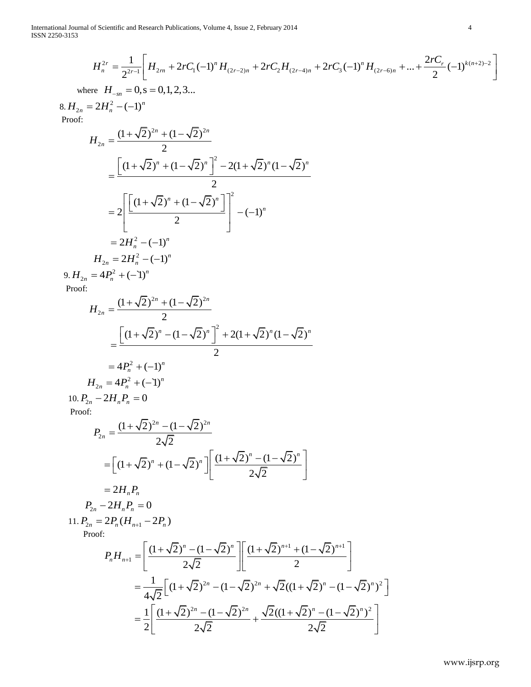International Journal of Scientific and Research Publications, Volume 4, Issue 2, February 2014 4 ISSN 2250-3153

1 of Scientific and Research Publications, Volume 4, Issue 2, February 2014  
\n
$$
H_n^{2r} = \frac{1}{2^{2r-1}} \left[ H_{2rn} + 2rC_1(-1)^n H_{(2r-2)n} + 2rC_2 H_{(2r-4)n} + 2rC_3(-1)^n H_{(2r-6)n} + ... + \frac{2rC_r}{2} (-1)^{k(n+2)-2} \right]
$$
\nHere  $H_n = 0$  s = 0 1 2 3

where  $H_{-sn} = 0$ ,  $s = 0, 1, 2, 3...$ 

 $8. H_{2n} = 2H_n^2 - (-1)^n$ 

Proof:  
\n
$$
H_{2n} = \frac{(1+\sqrt{2})^{2n} + (1-\sqrt{2})^{2n}}{2}
$$
\n
$$
= \frac{\left[ (1+\sqrt{2})^n + (1-\sqrt{2})^n \right]^2 - 2(1+\sqrt{2})^n (1-\sqrt{2})^n}{2}
$$
\n
$$
= 2 \left[ \frac{\left[ (1+\sqrt{2})^n + (1-\sqrt{2})^n \right]^2}{2} \right]^2 - (-1)^n
$$
\n
$$
= 2H_n^2 - (-1)^n
$$
\n
$$
H_{2n} = 2H_n^2 - (-1)^n
$$
\n9.  $H_{2n} = 4P_n^2 + (-1)^n$ 

Proof:

$$
H_{2n} = \frac{(1+\sqrt{2})^{2n} + (1-\sqrt{2})^{2n}}{2}
$$
  
= 
$$
\frac{\left[ (1+\sqrt{2})^n - (1-\sqrt{2})^n \right]^2 + 2(1+\sqrt{2})^n (1-\sqrt{2})^n}{2}
$$
  
= 
$$
4P_n^2 + (-1)^n
$$
  

$$
H_{2n} = 4P_n^2 + (-1)^n
$$

$$
10. P_{2n} - 2H_n P_n = 0
$$

Proof:

$$
P_{2n} = \frac{(1+\sqrt{2})^{2n} - (1-\sqrt{2})^{2n}}{2\sqrt{2}}
$$
  
= 
$$
\left[ (1+\sqrt{2})^n + (1-\sqrt{2})^n \right] \left[ \frac{(1+\sqrt{2})^n - (1-\sqrt{2})^n}{2\sqrt{2}} \right]
$$
  
= 
$$
2H_n P_n
$$

$$
P_{2n} - 2H_n P_n = 0
$$

11.  $P_{2n} = 2P_n(H_{n+1} - 2P_n)$ <br>Proof:<br> $P_nH_{n+1} = \left[ \frac{(1+\sqrt{n} + 2P_n)}{(1+\sqrt{n} + 2P_n)^2} \right]$ Proof:

$$
P_n H_{n+1} = \left[ \frac{(1+\sqrt{2})^n - (1-\sqrt{2})^n}{2\sqrt{2}} \right] \left[ \frac{(1+\sqrt{2})^{n+1} + (1-\sqrt{2})^{n+1}}{2} \right]
$$
  
\n
$$
= \frac{1}{4\sqrt{2}} \left[ (1+\sqrt{2})^{2n} - (1-\sqrt{2})^{2n} + \sqrt{2}((1+\sqrt{2})^n - (1-\sqrt{2})^n)^2 \right]
$$
  
\n
$$
= \frac{1}{2} \left[ \frac{(1+\sqrt{2})^{2n} - (1-\sqrt{2})^{2n}}{2\sqrt{2}} + \frac{\sqrt{2}((1+\sqrt{2})^n - (1-\sqrt{2})^n)^2}{2\sqrt{2}} \right]
$$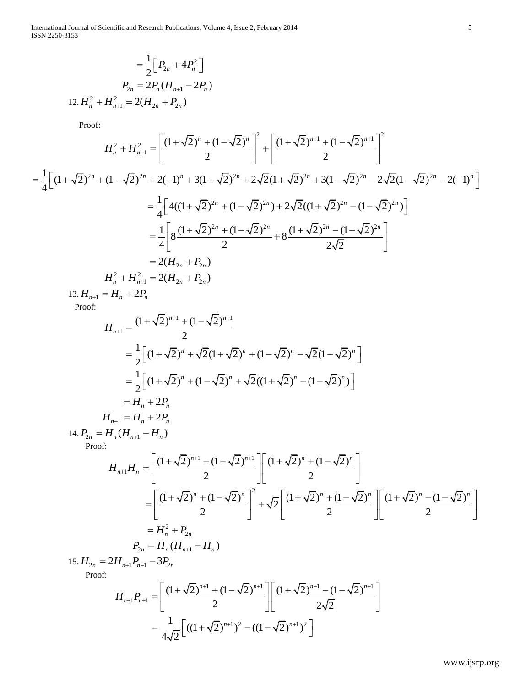$$
= \frac{1}{2} \Big[ P_{2n} + 4P_n^2 \Big]
$$
  

$$
P_{2n} = 2P_n (H_{n+1} - 2P_n)
$$
  

$$
12. H_n^2 + H_{n+1}^2 = 2(H_{2n} + P_{2n})
$$

Proof:

Proof:  
\n
$$
H_n^2 + H_{n+1}^2 = \left[ \frac{(1+\sqrt{2})^n + (1-\sqrt{2})^n}{2} \right]^2 + \left[ \frac{(1+\sqrt{2})^{n+1} + (1-\sqrt{2})^{n+1}}{2} \right]^2
$$
\n
$$
= \frac{1}{4} \left[ (1+\sqrt{2})^{2n} + (1-\sqrt{2})^{2n} + 2(-1)^n + 3(1+\sqrt{2})^{2n} + 2\sqrt{2}(1+\sqrt{2})^{2n} + 3(1-\sqrt{2})^{2n} - 2\sqrt{2}(1-\sqrt{2})^{2n} - 2(-1)^n \right]
$$
\n
$$
= \frac{1}{4} \left[ 4((1+\sqrt{2})^{2n} + (1-\sqrt{2})^{2n}) + 2\sqrt{2}((1+\sqrt{2})^{2n} - (1-\sqrt{2})^{2n}) \right]
$$
\n
$$
= \frac{1}{4} \left[ 8 \frac{(1+\sqrt{2})^{2n} + (1-\sqrt{2})^{2n}}{2} + 8 \frac{(1+\sqrt{2})^{2n} - (1-\sqrt{2})^{2n}}{2\sqrt{2}} \right]
$$
\n
$$
= 2(H_{2n} + P_{2n})
$$
\n
$$
H_n^2 + H_{n+1}^2 = 2(H_{2n} + P_{2n})
$$
\n
$$
= 13. H_{n+1} = H_n + 2P_n
$$

Proof:

Proof:  
\n
$$
H_{n+1} = \frac{(1+\sqrt{2})^{n+1} + (1-\sqrt{2})^{n+1}}{2}
$$
\n
$$
= \frac{1}{2} \Big[ (1+\sqrt{2})^n + \sqrt{2}(1+\sqrt{2})^n + (1-\sqrt{2})^n - \sqrt{2}(1-\sqrt{2})^n \Big]
$$
\n
$$
= \frac{1}{2} \Big[ (1+\sqrt{2})^n + (1-\sqrt{2})^n + \sqrt{2}((1+\sqrt{2})^n - (1-\sqrt{2})^n) \Big]
$$
\n
$$
= H_n + 2P_n
$$
\n
$$
H_{n+1} = H_n + 2P_n
$$

14.  $P_{2n} = H_n (H_{n+1} - H_n)$ 

14. 
$$
P_{2n} = H_n(H_{n+1} - H_n)
$$
  
\nProof:  
\n
$$
H_{n+1}H_n = \left[ \frac{(1 + \sqrt{2})^{n+1} + (1 - \sqrt{2})^{n+1}}{2} \right] \left[ \frac{(1 + \sqrt{2})^n + (1 - \sqrt{2})^n}{2} \right]
$$
\n
$$
= \left[ \frac{(1 + \sqrt{2})^n + (1 - \sqrt{2})^n}{2} \right]^2 + \sqrt{2} \left[ \frac{(1 + \sqrt{2})^n + (1 - \sqrt{2})^n}{2} \right] \left[ \frac{(1 + \sqrt{2})^n - (1 - \sqrt{2})^n}{2} \right]
$$
\n
$$
= H_n^2 + P_{2n}
$$
\n
$$
P_{2n} = H_n(H_{n+1} - H_n)
$$

Proof:

15. 
$$
H_{2n} = 2H_{n+1}P_{n+1} - 3P_{2n}
$$
  
\nProof:  
\n
$$
H_{n+1}P_{n+1} = \left[ \frac{(1 + \sqrt{2})^{n+1} + (1 - \sqrt{2})^{n+1}}{2} \right] \left[ \frac{(1 + \sqrt{2})^{n+1} - (1 - \sqrt{2})^{n+1}}{2\sqrt{2}} \right]
$$
\n
$$
= \frac{1}{4\sqrt{2}} \left[ ((1 + \sqrt{2})^{n+1})^2 - ((1 - \sqrt{2})^{n+1})^2 \right]
$$